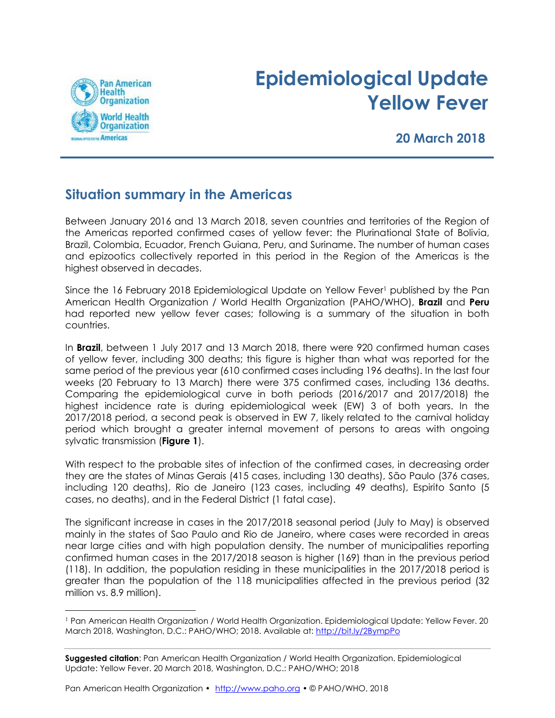

 $\overline{a}$ 

# **Epidemiological Update Yellow Fever**

#### **20 March 2018**

## **Situation summary in the Americas**

Between January 2016 and 13 March 2018, seven countries and territories of the Region of the Americas reported confirmed cases of yellow fever: the Plurinational State of Bolivia, Brazil, Colombia, Ecuador, French Guiana, Peru, and Suriname. The number of human cases and epizootics collectively reported in this period in the Region of the Americas is the highest observed in decades.

Since the 16 February 2018 Epidemiological Update on Yellow Fever<sup>1</sup> published by the Pan American Health Organization / World Health Organization (PAHO/WHO), **Brazil** and **Peru** had reported new yellow fever cases; following is a summary of the situation in both countries.

In **Brazil**, between 1 July 2017 and 13 March 2018, there were 920 confirmed human cases of yellow fever, including 300 deaths; this figure is higher than what was reported for the same period of the previous year (610 confirmed cases including 196 deaths). In the last four weeks (20 February to 13 March) there were 375 confirmed cases, including 136 deaths. Comparing the epidemiological curve in both periods (2016/2017 and 2017/2018) the highest incidence rate is during epidemiological week (EW) 3 of both years. In the 2017/2018 period, a second peak is observed in EW 7, likely related to the carnival holiday period which brought a greater internal movement of persons to areas with ongoing sylvatic transmission (**Figure 1**).

With respect to the probable sites of infection of the confirmed cases, in decreasing order they are the states of Minas Gerais (415 cases, including 130 deaths), São Paulo (376 cases, including 120 deaths), Rio de Janeiro (123 cases, including 49 deaths), Espirito Santo (5 cases, no deaths), and in the Federal District (1 fatal case).

The significant increase in cases in the 2017/2018 seasonal period (July to May) is observed mainly in the states of Sao Paulo and Rio de Janeiro, where cases were recorded in areas near large cities and with high population density. The number of municipalities reporting confirmed human cases in the 2017/2018 season is higher (169) than in the previous period (118). In addition, the population residing in these municipalities in the 2017/2018 period is greater than the population of the 118 municipalities affected in the previous period (32 million vs. 8.9 million).

Pan American Health Organization • http://www.paho.org • © PAHO/WHO, 2018

<sup>1</sup> Pan American Health Organization / World Health Organization. Epidemiological Update: Yellow Fever. 20 March 2018, Washington, D.C.: PAHO/WHO; 2018. Available at: http://bit.ly/2BympPo

**Suggested citation**: Pan American Health Organization / World Health Organization. Epidemiological Update: Yellow Fever. 20 March 2018, Washington, D.C.: PAHO/WHO; 2018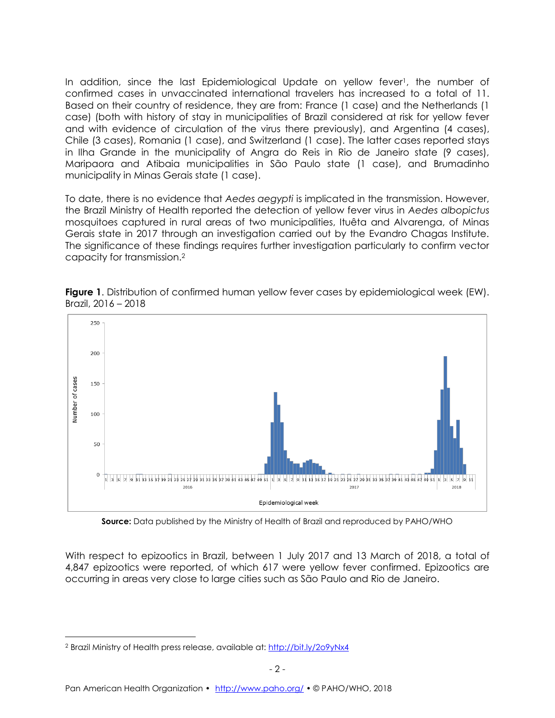In addition, since the last Epidemiological Update on yellow fever<sup>1</sup>, the number of confirmed cases in unvaccinated international travelers has increased to a total of 11. Based on their country of residence, they are from: France (1 case) and the Netherlands (1 case) (both with history of stay in municipalities of Brazil considered at risk for yellow fever and with evidence of circulation of the virus there previously), and Argentina (4 cases), Chile (3 cases), Romania (1 case), and Switzerland (1 case). The latter cases reported stays in Ilha Grande in the municipality of Angra do Reis in Rio de Janeiro state (9 cases), Maripaora and Atibaia municipalities in São Paulo state (1 case), and Brumadinho municipality in Minas Gerais state (1 case).

To date, there is no evidence that *Aedes aegypti* is implicated in the transmission. However, the Brazil Ministry of Health reported the detection of yellow fever virus in *Aedes albopictus* mosquitoes captured in rural areas of two municipalities, Ituêta and Alvarenga, of Minas Gerais state in 2017 through an investigation carried out by the Evandro Chagas Institute. The significance of these findings requires further investigation particularly to confirm vector capacity for transmission.<sup>2</sup>

**Figure 1**. Distribution of confirmed human yellow fever cases by epidemiological week (EW). Brazil, 2016 – 2018



**Source:** Data published by the Ministry of Health of Brazil and reproduced by PAHO/WHO

With respect to epizootics in Brazil, between 1 July 2017 and 13 March of 2018, a total of 4,847 epizootics were reported, of which 617 were yellow fever confirmed. Epizootics are occurring in areas very close to large cities such as São Paulo and Rio de Janeiro.

 $\overline{a}$ 

<sup>&</sup>lt;sup>2</sup> Brazil Ministry of Health press release, available at:<http://bit.ly/2o9yNx4>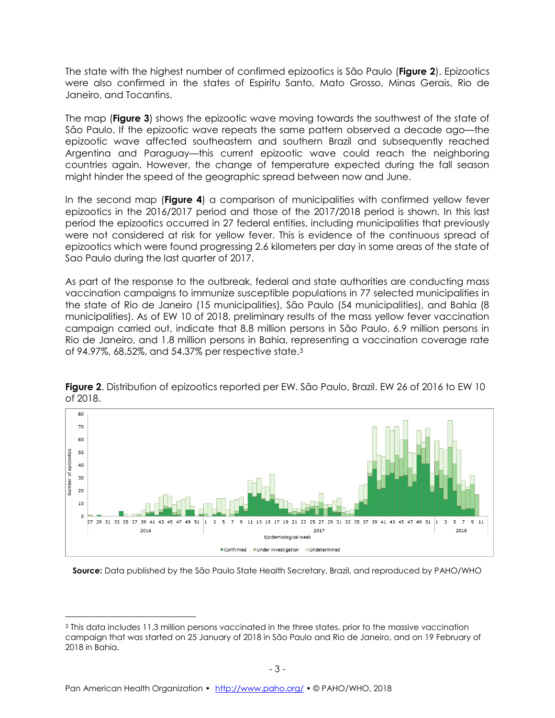The state with the highest number of confirmed epizootics is São Paulo (**Figure 2**). Epizootics were also confirmed in the states of Espiritu Santo, Mato Grosso, Minas Gerais, Rio de Janeiro, and Tocantins.

The map (**Figure 3**) shows the epizootic wave moving towards the southwest of the state of São Paulo. If the epizootic wave repeats the same pattern observed a decade ago—the epizootic wave affected southeastern and southern Brazil and subsequently reached Argentina and Paraguay—this current epizootic wave could reach the neighboring countries again. However, the change of temperature expected during the fall season might hinder the speed of the geographic spread between now and June.

In the second map (**Figure 4**) a comparison of municipalities with confirmed yellow fever epizootics in the 2016/2017 period and those of the 2017/2018 period is shown. In this last period the epizootics occurred in 27 federal entities, including municipalities that previously were not considered at risk for yellow fever. This is evidence of the continuous spread of epizootics which were found progressing 2.6 kilometers per day in some areas of the state of Sao Paulo during the last quarter of 2017.

As part of the response to the outbreak, federal and state authorities are conducting mass vaccination campaigns to immunize susceptible populations in 77 selected municipalities in the state of Rio de Janeiro (15 municipalities), São Paulo (54 municipalities), and Bahia (8 municipalities). As of EW 10 of 2018, preliminary results of the mass yellow fever vaccination campaign carried out, indicate that 8.8 million persons in São Paulo, 6.9 million persons in Rio de Janeiro, and 1.8 million persons in Bahia, representing a vaccination coverage rate of 94.97%, 68.52%, and 54.37% per respective state.<sup>3</sup>



**Figure 2**. Distribution of epizootics reported per EW. São Paulo, Brazil. EW 26 of 2016 to EW 10 of 2018.

**Source:** Data published by the São Paulo State Health Secretary, Brazil, and reproduced by PAHO/WHO

 $\overline{a}$ 

<sup>3</sup> This data includes 11.3 million persons vaccinated in the three states, prior to the massive vaccination campaign that was started on 25 January of 2018 in São Paulo and Rio de Janeiro, and on 19 February of 2018 in Bahia.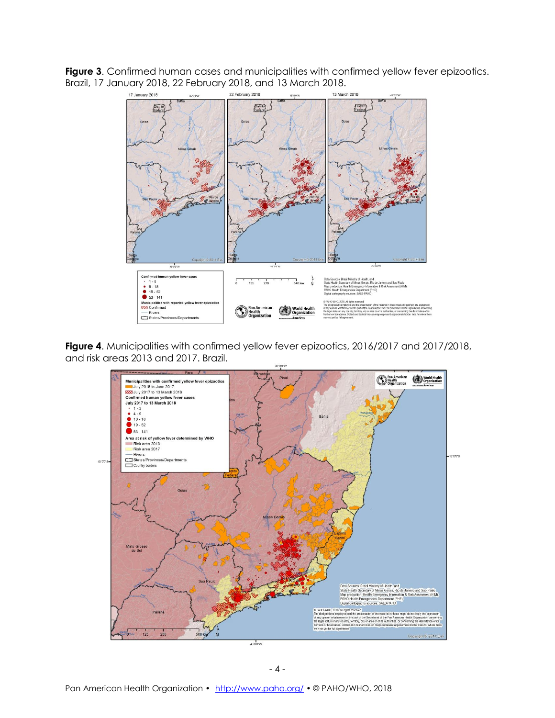**Figure 3**. Confirmed human cases and municipalities with confirmed yellow fever epizootics. Brazil, 17 January 2018, 22 February 2018, and 13 March 2018.



**Figure 4**. Municipalities with confirmed yellow fever epizootics, 2016/2017 and 2017/2018, and risk areas 2013 and 2017. Brazil.

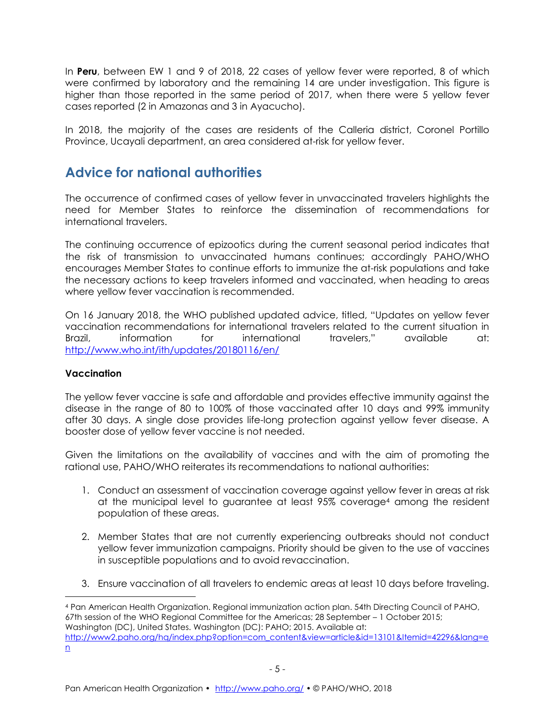In **Peru**, between EW 1 and 9 of 2018, 22 cases of yellow fever were reported, 8 of which were confirmed by laboratory and the remaining 14 are under investigation. This figure is higher than those reported in the same period of 2017, when there were 5 yellow fever cases reported (2 in Amazonas and 3 in Ayacucho).

In 2018, the majority of the cases are residents of the Calleria district, Coronel Portillo Province, Ucayali department, an area considered at-risk for yellow fever.

### **Advice for national authorities**

The occurrence of confirmed cases of yellow fever in unvaccinated travelers highlights the need for Member States to reinforce the dissemination of recommendations for international travelers.

The continuing occurrence of epizootics during the current seasonal period indicates that the risk of transmission to unvaccinated humans continues; accordingly PAHO/WHO encourages Member States to continue efforts to immunize the at-risk populations and take the necessary actions to keep travelers informed and vaccinated, when heading to areas where yellow fever vaccination is recommended.

On 16 January 2018, the WHO published updated advice, titled, "Updates on yellow fever vaccination recommendations for international travelers related to the current situation in Brazil, information for international travelers," available at: <http://www.who.int/ith/updates/20180116/en/>

#### **Vaccination**

 $\overline{a}$ 

The yellow fever vaccine is safe and affordable and provides effective immunity against the disease in the range of 80 to 100% of those vaccinated after 10 days and 99% immunity after 30 days. A single dose provides life-long protection against yellow fever disease. A booster dose of yellow fever vaccine is not needed.

Given the limitations on the availability of vaccines and with the aim of promoting the rational use, PAHO/WHO reiterates its recommendations to national authorities:

- 1. Conduct an assessment of vaccination coverage against yellow fever in areas at risk at the municipal level to guarantee at least 95% coverage<sup>4</sup> among the resident population of these areas.
- 2. Member States that are not currently experiencing outbreaks should not conduct yellow fever immunization campaigns. Priority should be given to the use of vaccines in susceptible populations and to avoid revaccination.
- 3. Ensure vaccination of all travelers to endemic areas at least 10 days before traveling.

<sup>4</sup> Pan American Health Organization. Regional immunization action plan. 54th Directing Council of PAHO, 67th session of the WHO Regional Committee for the Americas; 28 September – 1 October 2015; Washington (DC), United States. Washington (DC): PAHO; 2015. Available at: [http://www2.paho.org/hq/index.php?option=com\\_content&view=article&id=13101&Itemid=42296&lang=e](http://www2.paho.org/hq/index.php?option=com_content&view=article&id=13101&Itemid=42296&lang=en) [n](http://www2.paho.org/hq/index.php?option=com_content&view=article&id=13101&Itemid=42296&lang=en)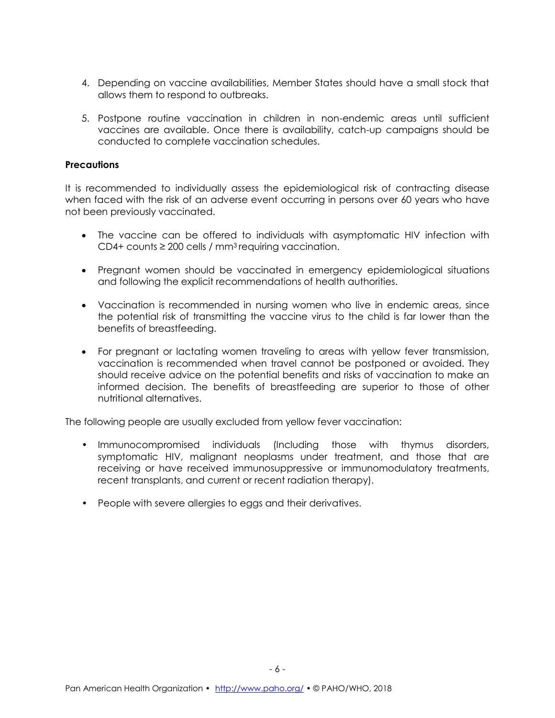- 4. Depending on vaccine availabilities, Member States should have a small stock that allows them to respond to outbreaks.
- 5. Postpone routine vaccination in children in non-endemic areas until sufficient vaccines are available. Once there is availability, catch-up campaigns should be conducted to complete vaccination schedules.

#### **Precautions**

It is recommended to individually assess the epidemiological risk of contracting disease when faced with the risk of an adverse event occurring in persons over 60 years who have not been previously vaccinated.

- The vaccine can be offered to individuals with asymptomatic HIV infection with CD4+ counts  $\geq$  200 cells / mm<sup>3</sup> requiring vaccination.
- Pregnant women should be vaccinated in emergency epidemiological situations and following the explicit recommendations of health authorities.
- Vaccination is recommended in nursing women who live in endemic areas, since the potential risk of transmitting the vaccine virus to the child is far lower than the benefits of breastfeeding.
- For pregnant or lactating women traveling to areas with yellow fever transmission, vaccination is recommended when travel cannot be postponed or avoided. They should receive advice on the potential benefits and risks of vaccination to make an informed decision. The benefits of breastfeeding are superior to those of other nutritional alternatives.

The following people are usually excluded from yellow fever vaccination:

- Immunocompromised individuals (Including those with thymus disorders, symptomatic HIV, malignant neoplasms under treatment, and those that are receiving or have received immunosuppressive or immunomodulatory treatments, recent transplants, and current or recent radiation therapy).
- People with severe allergies to eggs and their derivatives.